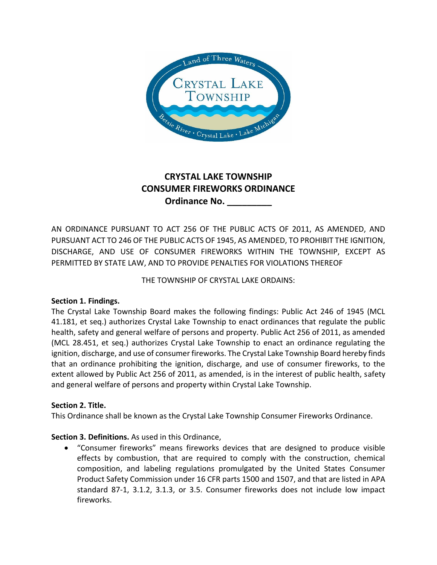

# **CRYSTAL LAKE TOWNSHIP CONSUMER FIREWORKS ORDINANCE Ordinance No. \_\_\_\_\_\_\_\_\_**

AN ORDINANCE PURSUANT TO ACT 256 OF THE PUBLIC ACTS OF 2011, AS AMENDED, AND PURSUANT ACT TO 246 OF THE PUBLIC ACTS OF 1945, AS AMENDED, TO PROHIBIT THE IGNITION, DISCHARGE, AND USE OF CONSUMER FIREWORKS WITHIN THE TOWNSHIP, EXCEPT AS PERMITTED BY STATE LAW, AND TO PROVIDE PENALTIES FOR VIOLATIONS THEREOF

THE TOWNSHIP OF CRYSTAL LAKE ORDAINS:

## **Section 1. Findings.**

The Crystal Lake Township Board makes the following findings: Public Act 246 of 1945 (MCL 41.181, et seq.) authorizes Crystal Lake Township to enact ordinances that regulate the public health, safety and general welfare of persons and property. Public Act 256 of 2011, as amended (MCL 28.451, et seq.) authorizes Crystal Lake Township to enact an ordinance regulating the ignition, discharge, and use of consumer fireworks. The Crystal Lake Township Board hereby finds that an ordinance prohibiting the ignition, discharge, and use of consumer fireworks, to the extent allowed by Public Act 256 of 2011, as amended, is in the interest of public health, safety and general welfare of persons and property within Crystal Lake Township.

## **Section 2. Title.**

This Ordinance shall be known as the Crystal Lake Township Consumer Fireworks Ordinance.

## **Section 3. Definitions.** As used in this Ordinance,

 "Consumer fireworks" means fireworks devices that are designed to produce visible effects by combustion, that are required to comply with the construction, chemical composition, and labeling regulations promulgated by the United States Consumer Product Safety Commission under 16 CFR parts 1500 and 1507, and that are listed in APA standard 87-1, 3.1.2, 3.1.3, or 3.5. Consumer fireworks does not include low impact fireworks.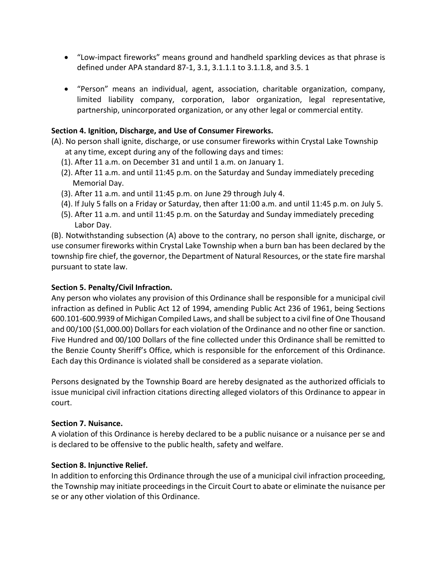- "Low-impact fireworks" means ground and handheld sparkling devices as that phrase is defined under APA standard 87-1, 3.1, 3.1.1.1 to 3.1.1.8, and 3.5. 1
- "Person" means an individual, agent, association, charitable organization, company, limited liability company, corporation, labor organization, legal representative, partnership, unincorporated organization, or any other legal or commercial entity.

### **Section 4. Ignition, Discharge, and Use of Consumer Fireworks.**

- (A). No person shall ignite, discharge, or use consumer fireworks within Crystal Lake Township at any time, except during any of the following days and times:
	- (1). After 11 a.m. on December 31 and until 1 a.m. on January 1.
	- (2). After 11 a.m. and until 11:45 p.m. on the Saturday and Sunday immediately preceding Memorial Day.
	- (3). After 11 a.m. and until 11:45 p.m. on June 29 through July 4.
	- (4). If July 5 falls on a Friday or Saturday, then after 11:00 a.m. and until 11:45 p.m. on July 5.
	- (5). After 11 a.m. and until 11:45 p.m. on the Saturday and Sunday immediately preceding Labor Day.

(B). Notwithstanding subsection (A) above to the contrary, no person shall ignite, discharge, or use consumer fireworks within Crystal Lake Township when a burn ban has been declared by the township fire chief, the governor, the Department of Natural Resources, or the state fire marshal pursuant to state law.

#### **Section 5. Penalty/Civil Infraction.**

Any person who violates any provision of this Ordinance shall be responsible for a municipal civil infraction as defined in Public Act 12 of 1994, amending Public Act 236 of 1961, being Sections 600.101-600.9939 of Michigan Compiled Laws, and shall be subject to a civil fine of One Thousand and 00/100 (\$1,000.00) Dollars for each violation of the Ordinance and no other fine or sanction. Five Hundred and 00/100 Dollars of the fine collected under this Ordinance shall be remitted to the Benzie County Sheriff's Office, which is responsible for the enforcement of this Ordinance. Each day this Ordinance is violated shall be considered as a separate violation.

Persons designated by the Township Board are hereby designated as the authorized officials to issue municipal civil infraction citations directing alleged violators of this Ordinance to appear in court.

#### **Section 7. Nuisance.**

A violation of this Ordinance is hereby declared to be a public nuisance or a nuisance per se and is declared to be offensive to the public health, safety and welfare.

#### **Section 8. Injunctive Relief.**

In addition to enforcing this Ordinance through the use of a municipal civil infraction proceeding, the Township may initiate proceedings in the Circuit Court to abate or eliminate the nuisance per se or any other violation of this Ordinance.